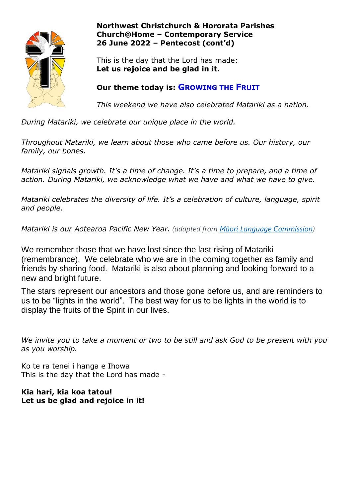

## **Northwest Christchurch & Hororata Parishes Church@Home – Contemporary Service 26 June 2022 – Pentecost (cont'd)**

This is the day that the Lord has made: **Let us rejoice and be glad in it.**

# **Our theme today is: GROWING THE FRUIT**

*This weekend we have also celebrated Matariki as a nation.*

*During Matariki, we celebrate our unique place in the world.* 

*Throughout Matariki, we learn about those who came before us. Our history, our family, our bones.*

*Matariki signals growth. It's a time of change. It's a time to prepare, and a time of action. During Matariki, we acknowledge what we have and what we have to give.*

*Matariki celebrates the diversity of life. It's a celebration of culture, language, spirit and people.*

*Matariki is our Aotearoa Pacific New Year. (adapted from [Māori Language Commission](http://www.tetaurawhiri.govt.nz/maori/matariki_m/))*

We remember those that we have lost since the last rising of Matariki (remembrance). We celebrate who we are in the coming together as family and friends by sharing food. Matariki is also about planning and looking forward to a new and bright future.

The stars represent our ancestors and those gone before us, and are reminders to us to be "lights in the world". The best way for us to be lights in the world is to display the fruits of the Spirit in our lives.

*We invite you to take a moment or two to be still and ask God to be present with you as you worship.* 

Ko te ra tenei i hanga e Ihowa This is the day that the Lord has made -

## **Kia hari, kia koa tatou! Let us be glad and rejoice in it!**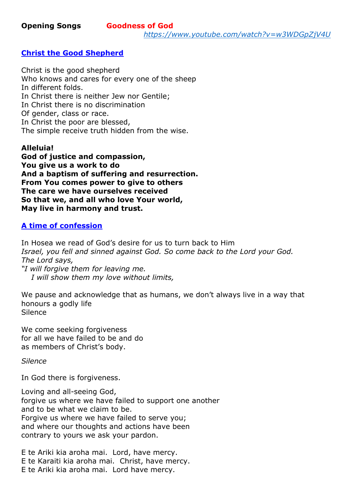*<https://www.youtube.com/watch?v=w3WDGpZjV4U>*

#### **Christ the Good Shepherd**

Christ is the good shepherd Who knows and cares for every one of the sheep In different folds. In Christ there is neither Jew nor Gentile; In Christ there is no discrimination Of gender, class or race. In Christ the poor are blessed, The simple receive truth hidden from the wise.

#### **Alleluia!**

**God of justice and compassion, You give us a work to do And a baptism of suffering and resurrection. From You comes power to give to others The care we have ourselves received So that we, and all who love Your world, May live in harmony and trust.**

## **A time of confession**

In Hosea we read of God's desire for us to turn back to Him *Israel, you fell and sinned against God. So come back to the Lord your God. The Lord says,*

*"I will forgive them for leaving me. I will show them my love without limits,*

We pause and acknowledge that as humans, we don't always live in a way that honours a godly life **Silence** 

We come seeking forgiveness for all we have failed to be and do as members of Christ's body.

*Silence*

In God there is forgiveness.

Loving and all-seeing God, forgive us where we have failed to support one another and to be what we claim to be. Forgive us where we have failed to serve you: and where our thoughts and actions have been contrary to yours we ask your pardon.

E te Ariki kia aroha mai. Lord, have mercy. E te Karaiti kia aroha mai. Christ, have mercy. E te Ariki kia aroha mai. Lord have mercy.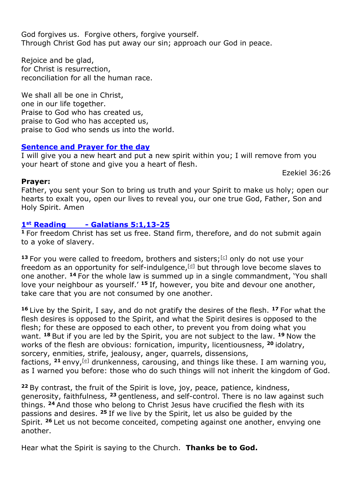God forgives us. Forgive others, forgive yourself. Through Christ God has put away our sin; approach our God in peace.

Rejoice and be glad, for Christ is resurrection, reconciliation for all the human race.

We shall all be one in Christ, one in our life together. Praise to God who has created us, praise to God who has accepted us, praise to God who sends us into the world.

# **Sentence and Prayer for the day**

I will give you a new heart and put a new spirit within you; I will remove from you your heart of stone and give you a heart of flesh.

Ezekiel 36:26

#### **Prayer:**

Father, you sent your Son to bring us truth and your Spirit to make us holy; open our hearts to exalt you, open our lives to reveal you, our one true God, Father, Son and Holy Spirit. Amen

## **1st Reading - Galatians 5:1,13-25**

**<sup>1</sup>** For freedom Christ has set us free. Stand firm, therefore, and do not submit again to a yoke of slavery.

13 For you were called to freedom, brothers and sisters;<sup>[\[c\]](https://www.biblegateway.com/passage/?search=Galatians+5&version=NRSVA#fen-NRSVA-29159c)</sup> only do not use your freedom as an opportunity for self-indulgence, $[d]$  but through love become slaves to one another. **<sup>14</sup>** For the whole law is summed up in a single commandment, 'You shall love your neighbour as yourself.' **<sup>15</sup>** If, however, you bite and devour one another, take care that you are not consumed by one another.

**<sup>16</sup>** Live by the Spirit, I say, and do not gratify the desires of the flesh. **<sup>17</sup>** For what the flesh desires is opposed to the Spirit, and what the Spirit desires is opposed to the flesh; for these are opposed to each other, to prevent you from doing what you want. **<sup>18</sup>** But if you are led by the Spirit, you are not subject to the law. **<sup>19</sup>** Now the works of the flesh are obvious: fornication, impurity, licentiousness, **<sup>20</sup>** idolatry, sorcery, enmities, strife, jealousy, anger, quarrels, dissensions, factions, **<sup>21</sup>** envy,[\[e\]](https://www.biblegateway.com/passage/?search=Galatians+5&version=NRSVA#fen-NRSVA-29167e) drunkenness, carousing, and things like these. I am warning you, as I warned you before: those who do such things will not inherit the kingdom of God.

**<sup>22</sup>** By contrast, the fruit of the Spirit is love, joy, peace, patience, kindness, generosity, faithfulness, **<sup>23</sup>** gentleness, and self-control. There is no law against such things. **<sup>24</sup>** And those who belong to Christ Jesus have crucified the flesh with its passions and desires. **<sup>25</sup>** If we live by the Spirit, let us also be guided by the Spirit. **<sup>26</sup>** Let us not become conceited, competing against one another, envying one another.

Hear what the Spirit is saying to the Church. **Thanks be to God.**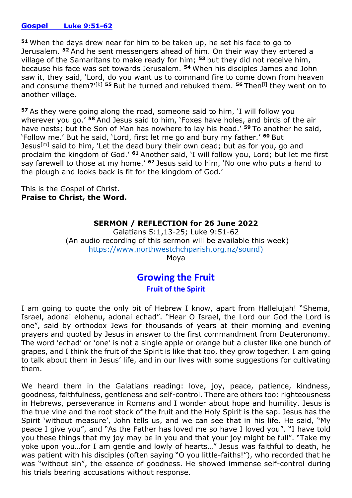#### **Gospel Luke 9:51-62**

**<sup>51</sup>** When the days drew near for him to be taken up, he set his face to go to Jerusalem. **<sup>52</sup>** And he sent messengers ahead of him. On their way they entered a village of the Samaritans to make ready for him; **<sup>53</sup>** but they did not receive him, because his face was set towards Jerusalem. **<sup>54</sup>** When his disciples James and John saw it, they said, 'Lord, do you want us to command fire to come down from heaven and consume them?'[\[k\]](https://www.biblegateway.com/passage/?search=luke+9&version=NRSVA#fen-NRSVA-25348k) **<sup>55</sup>** But he turned and rebuked them. **<sup>56</sup>** Then[\[l\]](https://www.biblegateway.com/passage/?search=luke+9&version=NRSVA#fen-NRSVA-25350l) they went on to another village.

**<sup>57</sup>** As they were going along the road, someone said to him, 'I will follow you wherever you go.' **<sup>58</sup>** And Jesus said to him, 'Foxes have holes, and birds of the air have nests; but the Son of Man has nowhere to lay his head.' **<sup>59</sup>** To another he said, 'Follow me.' But he said, 'Lord, first let me go and bury my father.' **<sup>60</sup>** But Jesus $[m]$  said to him, 'Let the dead bury their own dead; but as for you, go and proclaim the kingdom of God.' **<sup>61</sup>** Another said, 'I will follow you, Lord; but let me first say farewell to those at my home.' **<sup>62</sup>** Jesus said to him, 'No one who puts a hand to the plough and looks back is fit for the kingdom of God.'

This is the Gospel of Christ. **Praise to Christ, the Word.**

### **SERMON / REFLECTION for 26 June 2022**

Galatians 5:1,13-25; Luke 9:51-62 (An audio recording of this sermon will be available this week) [https://www.northwestchchparish.org.nz/sound\)](https://www.northwestchchparish.org.nz/sound)

Moya

# **Growing the Fruit Fruit of the Spirit**

I am going to quote the only bit of Hebrew I know, apart from Hallelujah! "Shema, Israel, adonai elohenu, adonai echad". "Hear O Israel, the Lord our God the Lord is one", said by orthodox Jews for thousands of years at their morning and evening prayers and quoted by Jesus in answer to the first commandment from Deuteronomy. The word 'echad' or 'one' is not a single apple or orange but a cluster like one bunch of grapes, and I think the fruit of the Spirit is like that too, they grow together. I am going to talk about them in Jesus' life, and in our lives with some suggestions for cultivating them.

We heard them in the Galatians reading: love, joy, peace, patience, kindness, goodness, faithfulness, gentleness and self-control. There are others too: righteousness in Hebrews, perseverance in Romans and I wonder about hope and humility. Jesus is the true vine and the root stock of the fruit and the Holy Spirit is the sap. Jesus has the Spirit 'without measure', John tells us, and we can see that in his life. He said, "My peace I give you", and "As the Father has loved me so have I loved you". "I have told you these things that my joy may be in you and that your joy might be full". "Take my yoke upon you…for I am gentle and lowly of hearts…" Jesus was faithful to death, he was patient with his disciples (often saying "O you little-faiths!"), who recorded that he was "without sin", the essence of goodness. He showed immense self-control during his trials bearing accusations without response.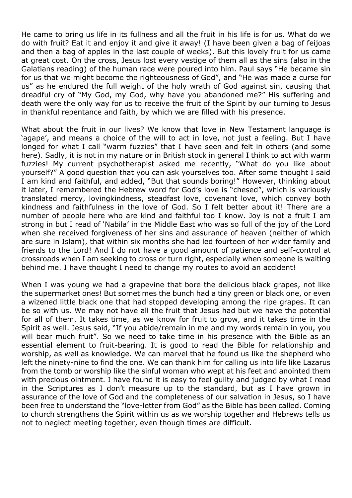He came to bring us life in its fullness and all the fruit in his life is for us. What do we do with fruit? Eat it and enjoy it and give it away! (I have been given a bag of feijoas and then a bag of apples in the last couple of weeks). But this lovely fruit for us came at great cost. On the cross, Jesus lost every vestige of them all as the sins (also in the Galatians reading) of the human race were poured into him. Paul says "He became sin for us that we might become the righteousness of God", and "He was made a curse for us" as he endured the full weight of the holy wrath of God against sin, causing that dreadful cry of "My God, my God, why have you abandoned me?" His suffering and death were the only way for us to receive the fruit of the Spirit by our turning to Jesus in thankful repentance and faith, by which we are filled with his presence.

What about the fruit in our lives? We know that love in New Testament language is 'agape', and means a choice of the will to act in love, not just a feeling. But I have longed for what I call "warm fuzzies" that I have seen and felt in others (and some here). Sadly, it is not in my nature or in British stock in general I think to act with warm fuzzies! My current psychotherapist asked me recently, "What do you like about yourself?" A good question that you can ask yourselves too. After some thought I said I am kind and faithful, and added, "But that sounds boring!" However, thinking about it later, I remembered the Hebrew word for God's love is "chesed", which is variously translated mercy, lovingkindness, steadfast love, covenant love, which convey both kindness and faithfulness in the love of God. So I felt better about it! There are a number of people here who are kind and faithful too I know. Joy is not a fruit I am strong in but I read of 'Nabila' in the Middle East who was so full of the joy of the Lord when she received forgiveness of her sins and assurance of heaven (neither of which are sure in Islam), that within six months she had led fourteen of her wider family and friends to the Lord! And I do not have a good amount of patience and self-control at crossroads when I am seeking to cross or turn right, especially when someone is waiting behind me. I have thought I need to change my routes to avoid an accident!

When I was young we had a grapevine that bore the delicious black grapes, not like the supermarket ones! But sometimes the bunch had a tiny green or black one, or even a wizened little black one that had stopped developing among the ripe grapes. It can be so with us. We may not have all the fruit that Jesus had but we have the potential for all of them. It takes time, as we know for fruit to grow, and it takes time in the Spirit as well. Jesus said, "If you abide/remain in me and my words remain in you, you will bear much fruit". So we need to take time in his presence with the Bible as an essential element to fruit-bearing. It is good to read the Bible for relationship and worship, as well as knowledge. We can marvel that he found us like the shepherd who left the ninety-nine to find the one. We can thank him for calling us into life like Lazarus from the tomb or worship like the sinful woman who wept at his feet and anointed them with precious ointment. I have found it is easy to feel guilty and judged by what I read in the Scriptures as I don't measure up to the standard, but as I have grown in assurance of the love of God and the completeness of our salvation in Jesus, so I have been free to understand the "love-letter from God" as the Bible has been called. Coming to church strengthens the Spirit within us as we worship together and Hebrews tells us not to neglect meeting together, even though times are difficult.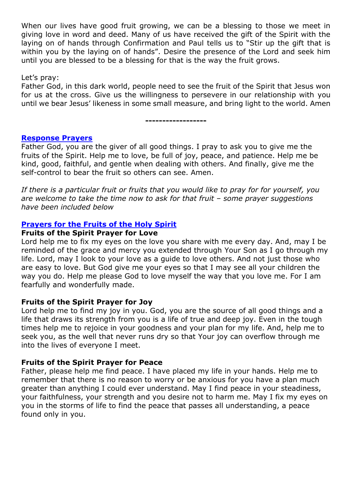When our lives have good fruit growing, we can be a blessing to those we meet in giving love in word and deed. Many of us have received the gift of the Spirit with the laying on of hands through Confirmation and Paul tells us to "Stir up the gift that is within you by the laying on of hands". Desire the presence of the Lord and seek him until you are blessed to be a blessing for that is the way the fruit grows.

Let's pray:

Father God, in this dark world, people need to see the fruit of the Spirit that Jesus won for us at the cross. Give us the willingness to persevere in our relationship with you until we bear Jesus' likeness in some small measure, and bring light to the world. Amen

**------------------**

### **Response Prayers**

Father God, you are the giver of all good things. I pray to ask you to give me the fruits of the Spirit. Help me to love, be full of joy, peace, and patience. Help me be kind, good, faithful, and gentle when dealing with others. And finally, give me the self-control to bear the fruit so others can see. Amen.

*If there is a particular fruit or fruits that you would like to pray for for yourself, you are welcome to take the time now to ask for that fruit – some prayer suggestions have been included below*

### **Prayers for the Fruits of the Holy Spirit**

#### **Fruits of the Spirit Prayer for Love**

Lord help me to fix my eyes on the love you share with me every day. And, may I be reminded of the grace and mercy you extended through Your Son as I go through my life. Lord, may I look to your love as a guide to love others. And not just those who are easy to love. But God give me your eyes so that I may see all your children the way you do. Help me please God to love myself the way that you love me. For I am fearfully and wonderfully made.

### **Fruits of the Spirit Prayer for Joy**

Lord help me to find my joy in you. God, you are the source of all good things and a life that draws its strength from you is a life of true and deep joy. Even in the tough times help me to rejoice in your goodness and your plan for my life. And, help me to seek you, as the well that never runs dry so that Your joy can overflow through me into the lives of everyone I meet.

### **Fruits of the Spirit Prayer for Peace**

Father, please help me find peace. I have placed my life in your hands. Help me to remember that there is no reason to worry or be anxious for you have a plan much greater than anything I could ever understand. May I find peace in your steadiness, your faithfulness, your strength and you desire not to harm me. May I fix my eyes on you in the storms of life to find the peace that passes all understanding, a peace found only in you.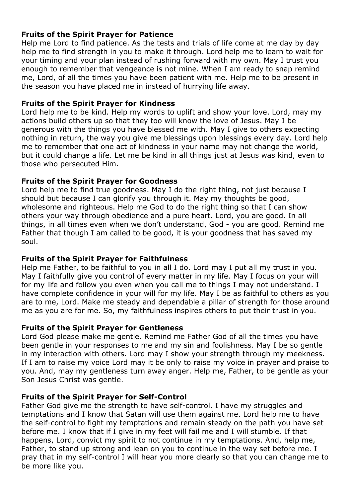# **Fruits of the Spirit Prayer for Patience**

Help me Lord to find patience. As the tests and trials of life come at me day by day help me to find strength in you to make it through. Lord help me to learn to wait for your timing and your plan instead of rushing forward with my own. May I trust you enough to remember that vengeance is not mine. When I am ready to snap remind me, Lord, of all the times you have been patient with me. Help me to be present in the season you have placed me in instead of hurrying life away.

## **Fruits of the Spirit Prayer for Kindness**

Lord help me to be kind. Help my words to uplift and show your love. Lord, may my actions build others up so that they too will know the love of Jesus. May I be generous with the things you have blessed me with. May I give to others expecting nothing in return, the way you give me blessings upon blessings every day. Lord help me to remember that one act of kindness in your name may not change the world, but it could change a life. Let me be kind in all things just at Jesus was kind, even to those who persecuted Him.

## **Fruits of the Spirit Prayer for Goodness**

Lord help me to find true goodness. May I do the right thing, not just because I should but because I can glorify you through it. May my thoughts be good, wholesome and righteous. Help me God to do the right thing so that I can show others your way through obedience and a pure heart. Lord, you are good. In all things, in all times even when we don't understand, God - you are good. Remind me Father that though I am called to be good, it is your goodness that has saved my soul.

# **Fruits of the Spirit Prayer for Faithfulness**

Help me Father, to be faithful to you in all I do. Lord may I put all my trust in you. May I faithfully give you control of every matter in my life. May I focus on your will for my life and follow you even when you call me to things I may not understand. I have complete confidence in your will for my life. May I be as faithful to others as you are to me, Lord. Make me steady and dependable a pillar of strength for those around me as you are for me. So, my faithfulness inspires others to put their trust in you.

### **Fruits of the Spirit Prayer for Gentleness**

Lord God please make me gentle. Remind me Father God of all the times you have been gentle in your responses to me and my sin and foolishness. May I be so gentle in my interaction with others. Lord may I show your strength through my meekness. If I am to raise my voice Lord may it be only to raise my voice in prayer and praise to you. And, may my gentleness turn away anger. Help me, Father, to be gentle as your Son Jesus Christ was gentle.

### **Fruits of the Spirit Prayer for Self-Control**

Father God give me the strength to have self-control. I have my struggles and temptations and I know that Satan will use them against me. Lord help me to have the self-control to fight my temptations and remain steady on the path you have set before me. I know that if I give in my feet will fail me and I will stumble. If that happens, Lord, convict my spirit to not continue in my temptations. And, help me, Father, to stand up strong and lean on you to continue in the way set before me. I pray that in my self-control I will hear you more clearly so that you can change me to be more like you.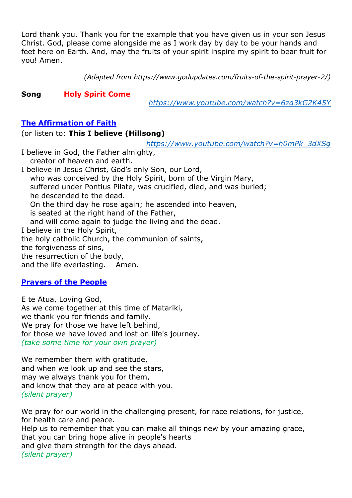Lord thank you. Thank you for the example that you have given us in your son Jesus Christ. God, please come alongside me as I work day by day to be your hands and feet here on Earth. And, may the fruits of your spirit inspire my spirit to bear fruit for you! Amen.

*(Adapted from https://www.godupdates.com/fruits-of-the-spirit-prayer-2/)*

## **Song Holy Spirit Come**

*<https://www.youtube.com/watch?v=6zg3kG2K45Y>*

## **The Affirmation of Faith**

(or listen to: **This I believe (Hillsong)**

*[https://www.youtube.com/watch?v=h0mPk\\_3dXSg](https://www.youtube.com/watch?v=h0mPk_3dXSg)*

I believe in God, the Father almighty, creator of heaven and earth.

I believe in Jesus Christ, God's only Son, our Lord, who was conceived by the Holy Spirit, born of the Virgin Mary, suffered under Pontius Pilate, was crucified, died, and was buried; he descended to the dead. On the third day he rose again; he ascended into heaven, is seated at the right hand of the Father, and will come again to judge the living and the dead. I believe in the Holy Spirit, the holy catholic Church, the communion of saints, the forgiveness of sins, the resurrection of the body, and the life everlasting. Amen.

# **Prayers of the People**

E te Atua, Loving God, As we come together at this time of Matariki, we thank you for friends and family. We pray for those we have left behind, for those we have loved and lost on life's journey. *(take some time for your own prayer)*

We remember them with gratitude, and when we look up and see the stars, may we always thank you for them, and know that they are at peace with you. *(silent prayer)*

We pray for our world in the challenging present, for race relations, for justice, for health care and peace.

Help us to remember that you can make all things new by your amazing grace, that you can bring hope alive in people's hearts and give them strength for the days ahead. *(silent prayer)*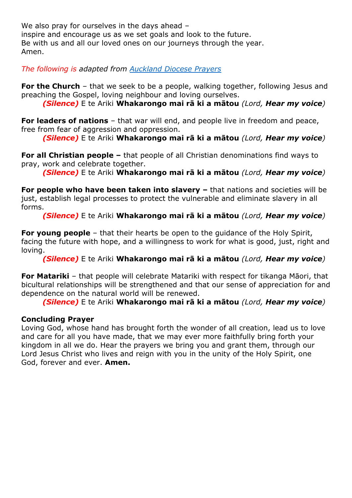We also pray for ourselves in the days ahead inspire and encourage us as we set goals and look to the future. Be with us and all our loved ones on our journeys through the year. Amen.

*The following is adapted from [Auckland Diocese Prayers](https://www.aucklandcatholic.org.nz/liturgy-%20%20%20%20%20%20%20%20%20%20%20%20%20%20%20%20%20%20%20%20%20prayer/prayers-of-the-faithful/)*

**For the Church** – that we seek to be a people, walking together, following Jesus and preaching the Gospel, loving neighbour and loving ourselves.

*(Silence)* E te Ariki **Whakarongo mai rā ki a mātou** *(Lord, Hear my voice)*

**For leaders of nations** – that war will end, and people live in freedom and peace, free from fear of aggression and oppression.

*(Silence)* E te Ariki **Whakarongo mai rā ki a mātou** *(Lord, Hear my voice)*

**For all Christian people –** that people of all Christian denominations find ways to pray, work and celebrate together.

*(Silence)* E te Ariki **Whakarongo mai rā ki a mātou** *(Lord, Hear my voice)*

**For people who have been taken into slavery –** that nations and societies will be just, establish legal processes to protect the vulnerable and eliminate slavery in all forms.

*(Silence)* E te Ariki **Whakarongo mai rā ki a mātou** *(Lord, Hear my voice)*

**For young people** – that their hearts be open to the quidance of the Holy Spirit, facing the future with hope, and a willingness to work for what is good, just, right and loving.

*(Silence)* E te Ariki **Whakarongo mai rā ki a mātou** *(Lord, Hear my voice)*

**For Matariki** – that people will celebrate Matariki with respect for tikanga Māori, that bicultural relationships will be strengthened and that our sense of appreciation for and dependence on the natural world will be renewed.

*(Silence)* E te Ariki **Whakarongo mai rā ki a mātou** *(Lord, Hear my voice)*

# **Concluding Prayer**

Loving God, whose hand has brought forth the wonder of all creation, lead us to love and care for all you have made, that we may ever more faithfully bring forth your kingdom in all we do. Hear the prayers we bring you and grant them, through our Lord Jesus Christ who lives and reign with you in the unity of the Holy Spirit, one God, forever and ever. **Amen.**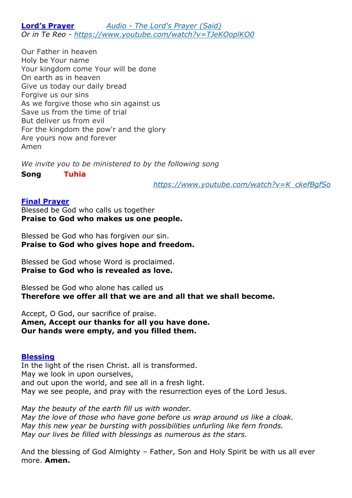**Lord's Prayer** *Audio - [The Lord's Prayer \(Said\)](https://www.northwestchchparish.org.nz/sound) Or in Te Reo - <https://www.youtube.com/watch?v=TJeKOoplKO0>*

Our Father in heaven Holy be Your name Your kingdom come Your will be done On earth as in heaven Give us today our daily bread Forgive us our sins As we forgive those who sin against us Save us from the time of trial But deliver us from evil For the kingdom the pow'r and the glory Are yours now and forever Amen

*We invite you to be ministered to by the following song*

**Song Tuhia**

*[https://www.youtube.com/watch?v=K\\_ckefBgfSo](https://www.youtube.com/watch?v=K_ckefBgfSo)*

### **Final Prayer**

Blessed be God who calls us together **Praise to God who makes us one people.**

Blessed be God who has forgiven our sin. **Praise to God who gives hope and freedom.**

Blessed be God whose Word is proclaimed. **Praise to God who is revealed as love.**

Blessed be God who alone has called us **Therefore we offer all that we are and all that we shall become.**

Accept, O God, our sacrifice of praise. **Amen, Accept our thanks for all you have done. Our hands were empty, and you filled them.**

### **Blessing**

In the light of the risen Christ. all is transformed. May we look in upon ourselves, and out upon the world, and see all in a fresh light. May we see people, and pray with the resurrection eyes of the Lord Jesus.

*May the beauty of the earth fill us with wonder. May the love of those who have gone before us wrap around us like a cloak. May this new year be bursting with possibilities unfurling like fern fronds. May our lives be filled with blessings as numerous as the stars.*

And the blessing of God Almighty – Father, Son and Holy Spirit be with us all ever more. **Amen.**